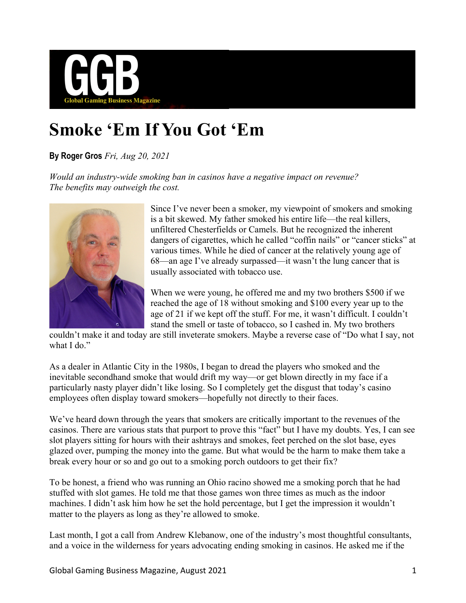

## **Smoke 'Em If You Got 'Em**

**By Roger Gros** *Fri, Aug 20, 2021*

*Would an industry-wide smoking ban in casinos have a negative impact on revenue? The benefits may outweigh the cost.*



Since I've never been a smoker, my viewpoint of smokers and smoking is a bit skewed. My father smoked his entire life—the real killers, unfiltered Chesterfields or Camels. But he recognized the inherent dangers of cigarettes, which he called "coffin nails" or "cancer sticks" at various times. While he died of cancer at the relatively young age of 68—an age I've already surpassed—it wasn't the lung cancer that is usually associated with tobacco use.

When we were young, he offered me and my two brothers \$500 if we reached the age of 18 without smoking and \$100 every year up to the age of 21 if we kept off the stuff. For me, it wasn't difficult. I couldn't stand the smell or taste of tobacco, so I cashed in. My two brothers

couldn't make it and today are still inveterate smokers. Maybe a reverse case of "Do what I say, not what I do."

As a dealer in Atlantic City in the 1980s, I began to dread the players who smoked and the inevitable secondhand smoke that would drift my way—or get blown directly in my face if a particularly nasty player didn't like losing. So I completely get the disgust that today's casino employees often display toward smokers—hopefully not directly to their faces.

We've heard down through the years that smokers are critically important to the revenues of the casinos. There are various stats that purport to prove this "fact" but I have my doubts. Yes, I can see slot players sitting for hours with their ashtrays and smokes, feet perched on the slot base, eyes glazed over, pumping the money into the game. But what would be the harm to make them take a break every hour or so and go out to a smoking porch outdoors to get their fix?

To be honest, a friend who was running an Ohio racino showed me a smoking porch that he had stuffed with slot games. He told me that those games won three times as much as the indoor machines. I didn't ask him how he set the hold percentage, but I get the impression it wouldn't matter to the players as long as they're allowed to smoke.

Last month, I got a call from Andrew Klebanow, one of the industry's most thoughtful consultants, and a voice in the wilderness for years advocating ending smoking in casinos. He asked me if the